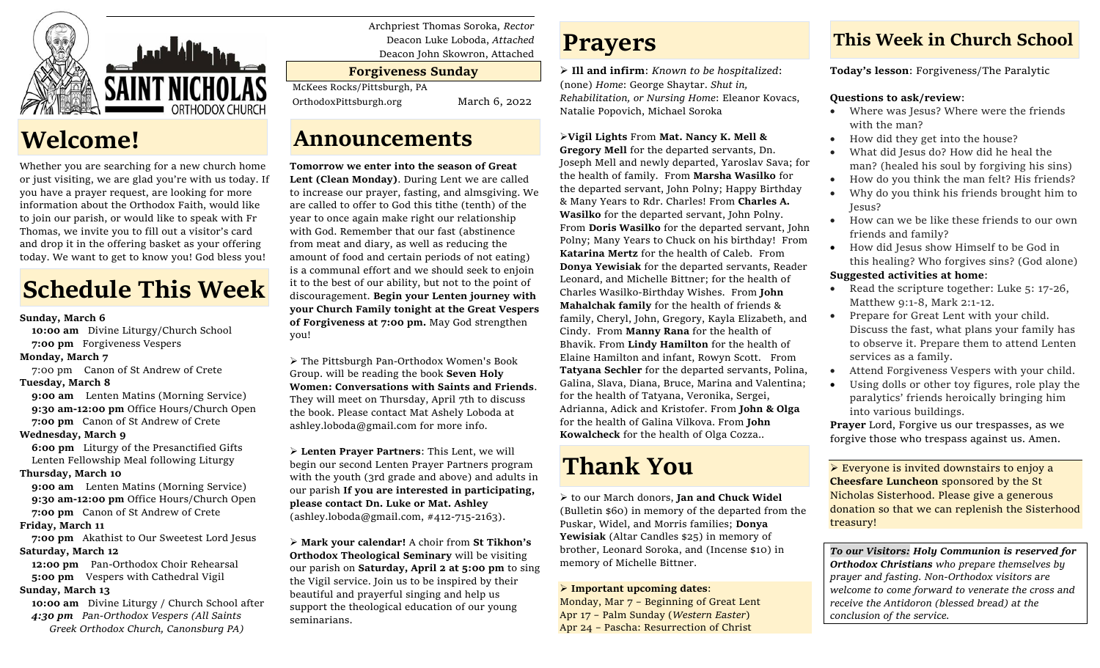

# **Welcome!**

Whether you are searching for a new church home or just visiting, we are glad you're with us today. If you have a prayer request, are looking for more information about the Orthodox Faith, would like to join our parish, or would like to speak with Fr Thomas, we invite you to fill out a visitor's card and drop it in the offering basket as your offering today. We want to get to know you! God bless you!

# **Schedule This Week**

#### **Sunday, March 6**

 **10:00 am** Divine Liturgy/Church School  **7:00 pm** Forgiveness Vespers

#### **Monday, March 7**

7:00 pm Canon of St Andrew of Crete

#### **Tuesday, March 8**

**9:00 am** Lenten Matins (Morning Service) **9:30 am-12:00 pm** Office Hours/Church Open  **7:00 pm** Canon of St Andrew of Crete

#### **Wednesday, March 9**

 **6:00 pm** Liturgy of the Presanctified Gifts Lenten Fellowship Meal following Liturgy

## **Thursday, March 10**

**9:00 am** Lenten Matins (Morning Service) **9:30 am-12:00 pm** Office Hours/Church Open **7:00 pm** Canon of St Andrew of Crete

#### **Friday, March 11**

 **7:00 pm** Akathist to Our Sweetest Lord Jesus **Saturday, March 12**

 **12:00 pm** Pan-Orthodox Choir Rehearsal **5:00 pm** Vespers with Cathedral Vigil

## **Sunday, March 13**

 **10:00 am** Divine Liturgy / Church School after  *4:30 pm Pan-Orthodox Vespers (All Saints Greek Orthodox Church, Canonsburg PA)*

Archpriest Thomas Soroka, *Rector* Deacon Luke Loboda, *Attached* Deacon John Skowron, Attached

# **Forgiveness Sunday**

McKees Rocks/Pittsburgh, PA

OrthodoxPittsburgh.org March 6, 2022

# **Announcements**

# **Tomorrow we enter into the season of Great**

**Lent (Clean Monday)**. During Lent we are called to increase our prayer, fasting, and almsgiving. We are called to offer to God this tithe (tenth) of the year to once again make right our relationship with God. Remember that our fast (abstinence from meat and diary, as well as reducing the amount of food and certain periods of not eating) is a communal effort and we should seek to enjoin it to the best of our ability, but not to the point of discouragement. **Begin your Lenten journey with your Church Family tonight at the Great Vespers of Forgiveness at 7:00 pm.** May God strengthen you!

➢ The Pittsburgh Pan-Orthodox Women's Book Group. will be reading the book **Seven Holy Women: Conversations with Saints and Friends**. They will meet on Thursday, April 7th to discuss the book. Please contact Mat Ashely Loboda at ashley.loboda@gmail.com for more info.

➢ **Lenten Prayer Partners**: This Lent, we will begin our second Lenten Prayer Partners program with the youth (3rd grade and above) and adults in our parish **If you are interested in participating, please contact Dn. Luke or Mat. Ashley**   $(ashley, loboda@gmail.com, #412-715-2163).$ 

➢ **Mark your calendar!** A choir from **St Tikhon's Orthodox Theological Seminary** will be visiting our parish on **Saturday, April 2 at 5:00 pm** to sing the Vigil service. Join us to be inspired by their beautiful and prayerful singing and help us support the theological education of our young seminarians.

# **Prayers**

➢ **Ill and infirm**: *Known to be hospitalized*: (none) *Home*: George Shaytar. *Shut in, Rehabilitation, or Nursing Home*: Eleanor Kovacs, Natalie Popovich, Michael Soroka

## ➢**Vigil Lights** From **Mat. Nancy K. Mell &**

**Gregory Mell** for the departed servants, Dn. Joseph Mell and newly departed, Yaroslav Sava; for the health of family. From **Marsha Wasilko** for the departed servant, John Polny; Happy Birthday & Many Years to Rdr. Charles! From **Charles A. Wasilko** for the departed servant, John Polny. From **Doris Wasilko** for the departed servant, John Polny; Many Years to Chuck on his birthday! From **Katarina Mertz** for the health of Caleb. From **Donya Yewisiak** for the departed servants, Reader Leonard, and Michelle Bittner; for the health of Charles Wasilko-Birthday Wishes. From **John Mahalchak family** for the health of friends & family, Cheryl, John, Gregory, Kayla Elizabeth, and Cindy. From **Manny Rana** for the health of Bhavik. From **Lindy Hamilton** for the health of Elaine Hamilton and infant, Rowyn Scott. From **Tatyana Sechler** for the departed servants, Polina, Galina, Slava, Diana, Bruce, Marina and Valentina; for the health of Tatyana, Veronika, Sergei, Adrianna, Adick and Kristofer. From **John & Olga** for the health of Galina Vilkova. From **John Kowalcheck** for the health of Olga Cozza..

# **Thank You**

➢ to our March donors, **Jan and Chuck Widel** (Bulletin \$60) in memory of the departed from the Puskar, Widel, and Morris families; **Donya Yewisiak** (Altar Candles \$25) in memory of brother, Leonard Soroka, and (Incense \$10) in memory of Michelle Bittner.

#### ➢ **Important upcoming dates**:

Monday, Mar 7 – Beginning of Great Lent Apr 17 – Palm Sunday (*Western Easter*) Apr 24 – Pascha: Resurrection of Christ

# **This Week in Church School**

**Today's lesson**: Forgiveness/The Paralytic

## **Questions to ask/review**:

- Where was Jesus? Where were the friends with the man?
- How did they get into the house?
- What did Jesus do? How did he heal the man? (healed his soul by forgiving his sins)
- How do you think the man felt? His friends?
- Why do you think his friends brought him to Jesus?
- How can we be like these friends to our own friends and family?
- How did Jesus show Himself to be God in this healing? Who forgives sins? (God alone)

## **Suggested activities at home**:

- Read the scripture together: Luke 5: 17-26, Matthew 9:1-8, Mark 2:1-12.
- Prepare for Great Lent with your child. Discuss the fast, what plans your family has to observe it. Prepare them to attend Lenten services as a family.
- Attend Forgiveness Vespers with your child.
- Using dolls or other toy figures, role play the paralytics' friends heroically bringing him into various buildings.

**Prayer** Lord, Forgive us our trespasses, as we forgive those who trespass against us. Amen.

➢ Everyone is invited downstairs to enjoy a **Cheesfare Luncheon** sponsored by the St Nicholas Sisterhood. Please give a generous donation so that we can replenish the Sisterhood treasury!

*To our Visitors: Holy Communion is reserved for Orthodox Christians who prepare themselves by prayer and fasting. Non-Orthodox visitors are welcome to come forward to venerate the cross and receive the Antidoron (blessed bread) at the conclusion of the service.*